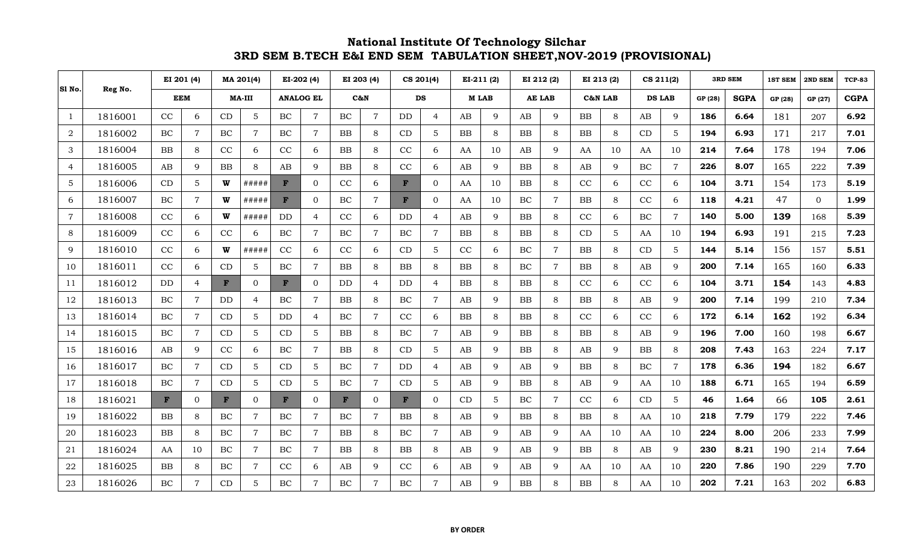## **National Institute Of Technology Silchar 3RD SEM B.TECH E&I END SEM TABULATION SHEET,NOV-2019 (PROVISIONAL)**

|                |         | EI 201 (4)   |                | MA 201(4) |                | EI-202 (4)   |                  | EI 203 (4)  |                | CS 201(4)    |                | EI-211 (2)      |              | EI 212 (2) |                | EI 213 (2) |              | CS 211(2) |                | <b>3RD SEM</b> |             | <b>1ST SEM</b> | 2ND SEM        | <b>TCP-83</b> |
|----------------|---------|--------------|----------------|-----------|----------------|--------------|------------------|-------------|----------------|--------------|----------------|-----------------|--------------|------------|----------------|------------|--------------|-----------|----------------|----------------|-------------|----------------|----------------|---------------|
| S1 No.         | Reg No. |              | <b>EEM</b>     |           | <b>MA-III</b>  |              | <b>ANALOG EL</b> |             | C&N            |              | DS             |                 | <b>MLAB</b>  |            | <b>AE LAB</b>  |            | C&N LAB      |           | <b>DS LAB</b>  |                | <b>SGPA</b> | GP (28)        | GP (27)        | <b>CGPA</b>   |
| $\mathbf{1}$   | 1816001 | CC           | 6              | CD        | 5              | <b>BC</b>    | $\overline{7}$   | $\rm BC$    | $\overline{7}$ | DD.          | 4              | AB              | 9            | AB         | 9              | ${\bf BB}$ | 8            | AB        | 9              | 186            | 6.64        | 181            | 207            | 6.92          |
| $\overline{2}$ | 1816002 | BC           | $\overline{7}$ | BC        | $\overline{7}$ | BC           | $\overline{7}$   | <b>BB</b>   | 8              | CD           | 5              | $\overline{BB}$ | 8            | <b>BB</b>  | 8              | BB         | 8            | CD        | 5              | 194            | 6.93        | 171            | 217            | 7.01          |
| 3              | 1816004 | BB           | 8              | CC        | 6              | CC           | 6                | $_{\rm BB}$ | 8              | CC           | 6              | AA              | 10           | AB         | 9              | AA         | 10           | AA        | 10             | 214            | 7.64        | 178            | 194            | 7.06          |
| 4              | 1816005 | AB           | 9              | BB        | 8              | AB           | 9                | BB          | 8              | CC           | 6              | AB              | 9            | BB         | 8              | AB         | 9            | $\rm BC$  | $\overline{7}$ | 226            | 8.07        | 165            | 222            | 7.39          |
| 5              | 1816006 | CD           | 5 <sup>5</sup> | W         | #####          | F            | $\Omega$         | CC          | 6              | $\mathbf{F}$ | $\Omega$       | AA              | 10           | BB         | 8              | CC         | 6            | CC        | 6              | 104            | 3.71        | 154            | 173            | 5.19          |
| 6              | 1816007 | BC           | $\overline{7}$ | W         | #####          | $\mathbf{F}$ | $\overline{0}$   | BC          | $\overline{7}$ | $\mathbf{F}$ | $\overline{0}$ | AA              | 10           | $\rm BC$   | $\overline{7}$ | <b>BB</b>  | 8            | CC        | 6              | 118            | 4.21        | 47             | $\overline{0}$ | 1.99          |
| $\overline{7}$ | 1816008 | CC           | 6              | W         | #####          | $\rm{DD}$    | $\overline{4}$   | CC          | 6              | <b>DD</b>    | $\overline{4}$ | AB              | 9            | BB         | 8              | CC         | 6            | BC        | $\overline{7}$ | 140            | 5.00        | 139            | 168            | 5.39          |
| 8              | 1816009 | CC           | 6              | CC        | 6              | BC           | $\overline{7}$   | BC          | $\overline{7}$ | BC           | $\overline{7}$ | BB              | 8            | BB         | 8              | CD         | 5            | AA        | 10             | 194            | 6.93        | 191            | 215            | 7.23          |
| 9              | 1816010 | CC           | 6              | W         | #####          | CC           | 6                | CC          | 6              | CD           | 5              | CC              | 6            | BC         | $\overline{7}$ | <b>BB</b>  | 8            | CD        | 5              | 144            | 5.14        | 156            | 157            | 5.51          |
| 10             | 1816011 | CC           | 6              | CD        | $\mathbf 5$    | BC           | $\overline{7}$   | <b>BB</b>   | 8              | <b>BB</b>    | 8              | <b>BB</b>       | 8            | BC         | $\overline{7}$ | <b>BB</b>  | 8            | AB        | 9              | 200            | 7.14        | 165            | 160            | 6.33          |
| 11             | 1816012 | $\rm{DD}$    | $\overline{4}$ | F         | $\overline{0}$ | $\mathbf F$  | $\Omega$         | DD          | $\overline{4}$ | DD           | $\overline{4}$ | BB              | 8            | ${\rm BB}$ | 8              | CC         | 6            | CC        | 6              | 104            | 3.71        | 154            | 143            | 4.83          |
| 12             | 1816013 | BC           | $\overline{7}$ | DD        | $\overline{4}$ | BC           | $\overline{7}$   | BB          | 8              | BC           | $\overline{7}$ | AB              | 9            | BB         | 8              | BB         | 8            | AB        | 9              | 200            | 7.14        | 199            | 210            | 7.34          |
| 13             | 1816014 | BC.          | $\overline{7}$ | CD        | 5              | DD           | $\overline{4}$   | BC          | $\overline{7}$ | CC           | 6              | $_{\rm BB}$     | 8            | BB         | 8              | CC         | 6            | CC        | 6              | 172            | 6.14        | 162            | 192            | 6.34          |
| 14             | 1816015 | <b>BC</b>    | $\overline{7}$ | CD        | 5              | CD           | 5                | BB          | 8              | BC           | $\overline{7}$ | AB              | 9            | BB         | 8              | BB         | 8            | AB        | 9              | 196            | 7.00        | 160            | 198            | 6.67          |
| 15             | 1816016 | AB           | $\mathbf{Q}$   | CC        | 6              | <b>BC</b>    | $\overline{7}$   | BB          | 8              | CD           | 5              | AB              | $\mathbf{Q}$ | BB         | 8              | AB         | $\mathbf{Q}$ | BB        | 8              | 208            | 7.43        | 163            | 224            | 7.17          |
| 16             | 1816017 | BC           | $\overline{7}$ | CD        | 5              | CD           | 5                | BC          | $\overline{7}$ | $\rm{DD}$    | 4              | AB              | 9            | AB         | 9              | <b>BB</b>  | 8            | $\rm BC$  | $\overline{7}$ | 178            | 6.36        | 194            | 182            | 6.67          |
| 17             | 1816018 | BC           | $\overline{7}$ | CD        | 5              | CD           | 5                | BC          | $\overline{7}$ | CD           | 5              | AB              | 9            | BB         | 8              | AB         | $\mathbf{Q}$ | AA        | 10             | 188            | 6.71        | 165            | 194            | 6.59          |
| 18             | 1816021 | $\mathbf{F}$ | $\overline{0}$ | F         | $\overline{0}$ | $\mathbf{F}$ | $\overline{0}$   | F           | $\overline{0}$ | $\mathbf{F}$ | $\overline{0}$ | CD              | 5            | $\rm BC$   | $\overline{7}$ | CC         | 6            | CD        | 5              | 46             | 1.64        | 66             | 105            | 2.61          |
| 19             | 1816022 | BB           | 8              | BC        | $\overline{7}$ | BC           | $\overline{7}$   | BC          | $\overline{7}$ | BB           | 8              | AB              | 9            | BB         | 8              | <b>BB</b>  | 8            | AA        | 10             | 218            | 7.79        | 179            | 222            | 7.46          |
| 20             | 1816023 | <b>BB</b>    | 8              | $\rm BC$  | $\overline{7}$ | BC           | $\overline{7}$   | BB          | 8              | <b>BC</b>    | 7              | AB              | 9            | AB         | 9              | AA         | 10           | AA        | 10             | 224            | 8.00        | 206            | 233            | 7.99          |
| 21             | 1816024 | AA           | 10             | $\rm BC$  | $\overline{7}$ | BC           | 7                | ${\bf BB}$  | 8              | BB           | 8              | AB              | 9            | AB         | 9              | <b>BB</b>  | 8            | AB        | 9              | 230            | 8.21        | 190            | 214            | 7.64          |
| $22\,$         | 1816025 | BB           | 8              | $\rm BC$  | $\overline{7}$ | CC           | 6                | AB          | 9              | CC           | 6              | AB              | 9            | AB         | 9              | AA         | 10           | AA        | 10             | 220            | 7.86        | 190            | 229            | 7.70          |
| 23             | 1816026 | BC           | $\overline{7}$ | CD        | 5              | BC           | 7                | BC          | $\overline{7}$ | BC           | 7              | AB              | 9            | BB         | 8              | <b>BB</b>  | 8            | AA        | 10             | 202            | 7.21        | 163            | 202            | 6.83          |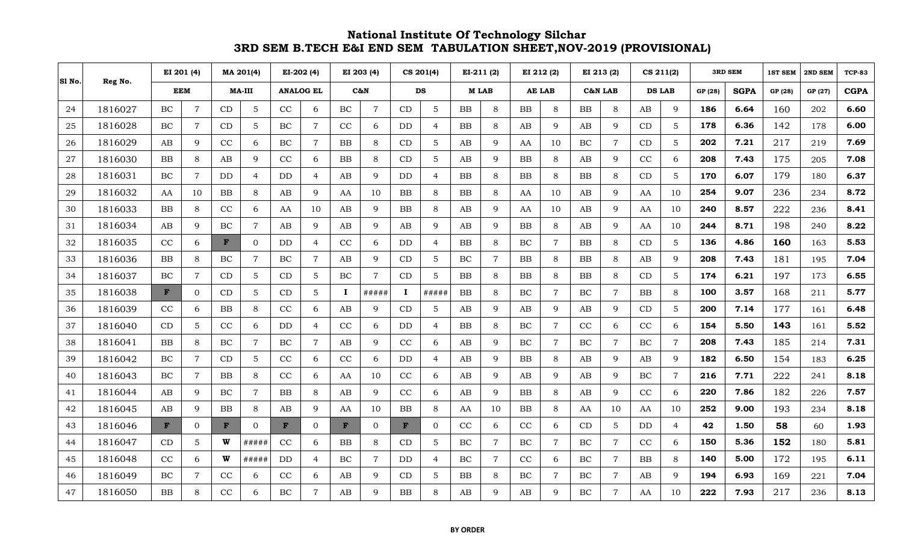## **National Institute Of Technology Silchar 3RD SEM B.TECH E&I END SEM TABULATION SHEET,NOV-2019 (PROVISIONAL)**

| S1 No. |         | EI 201 (4)   |                | MA 201(4)     |                | EI-202 (4)       |                | EI 203 (4)   |                | CS 201(4)  |                | $EI-211(2)$ |                | EI 212 (2) |                | EI 213 (2) |                | $CS$ 211(2)   |                | <b>3RD SEM</b> |             | <b>1ST SEM</b> | 2ND SEM | <b>TCP-83</b> |
|--------|---------|--------------|----------------|---------------|----------------|------------------|----------------|--------------|----------------|------------|----------------|-------------|----------------|------------|----------------|------------|----------------|---------------|----------------|----------------|-------------|----------------|---------|---------------|
|        | Reg No. | <b>EEM</b>   |                | <b>MA-III</b> |                | <b>ANALOG EL</b> |                | $C\delta_6N$ |                |            | DS             |             | <b>MLAB</b>    |            | <b>AE LAB</b>  | C&N LAB    |                | <b>DS LAB</b> |                | GP (28)        | <b>SGPA</b> | GP (28)        | GP (27) | <b>CGPA</b>   |
| 24     | 1816027 | $\rm BC$     | $\overline{7}$ | CD            | $\overline{5}$ | CC               | 6              | BC           | $\overline{7}$ | CD         | $\mathbf{5}$   | <b>BB</b>   | 8              | BB         | 8              | BB         | 8              | AB            | 9              | 186            | 6.64        | 160            | 202     | 6.60          |
| 25     | 1816028 | BC           | $\overline{7}$ | CD            | $\overline{5}$ | BC               | $\overline{7}$ | CC           | 6              | DD         | $\overline{4}$ | BB          | 8              | AB         | 9              | AB         | 9              | CD            | 5              | 178            | 6.36        | 142            | 178     | 6.00          |
| 26     | 1816029 | AB           | 9              | CC            | 6              | BC               | $\overline{7}$ | BB           | 8              | CD         | 5              | AB          | 9              | AA         | 10             | BC         | $\overline{7}$ | CD            | $\overline{5}$ | 202            | 7.21        | 217            | 219     | 7.69          |
| 27     | 1816030 | BB           | 8              | AB            | 9              | CC               | 6              | BB           | 8              | CD         | 5              | AB          | 9              | BB         | 8              | AB         | 9              | CC            | 6              | 208            | 7.43        | 175            | 205     | 7.08          |
| 28     | 1816031 | BC           | $\tau$         | DD            | 4              | DD               | 4              | AB           | 9              | DD         | 4              | <b>BB</b>   | 8              | BB         | 8              | BB         | 8              | CD            | 5              | 170            | 6.07        | 179            | 180     | 6.37          |
| 29     | 1816032 | AA           | 10             | BB            | 8              | AB               | 9              | AA           | 10             | BB         | 8              | <b>BB</b>   | 8              | AA         | 10             | AB         | 9              | AA            | 10             | 254            | 9.07        | 236            | 234     | 8.72          |
| 30     | 1816033 | BB.          | 8              | CC            | 6              | AA               | 10             | AB           | 9              | <b>BB</b>  | 8              | AB          | 9              | AA         | 10             | AB         | 9              | AA            | 10             | 240            | 8.57        | 222            | 236     | 8.41          |
| 31     | 1816034 | AB           | 9              | BC            | $\overline{7}$ | AB               | 9              | AB           | 9              | AB         | 9              | AB          | 9              | BB         | 8              | AB         | 9              | AA            | 10             | 244            | 8.71        | 198            | 240     | 8.22          |
| 32     | 1816035 | CC           | 6              | F             | $\overline{0}$ | DD               | 4              | CC           | 6              | DD         | 4              | <b>BB</b>   | 8              | BC         | $\overline{7}$ | <b>BB</b>  | 8              | CD            | 5              | 136            | 4.86        | 160            | 163     | 5.53          |
| 33     | 1816036 | BB.          | 8              | BC            | $\overline{7}$ | BC               | $\overline{7}$ | AB           | 9              | CD         | 5              | BC          | $\overline{7}$ | BB         | 8              | <b>BB</b>  | 8              | AB            | 9              | 208            | 7.43        | 181            | 195     | 7.04          |
| 34     | 1816037 | BC           | $\overline{7}$ | CD            | 5              | CD               | 5              | BC           | $\overline{7}$ | CD         | 5              | <b>BB</b>   | 8              | BB         | 8              | <b>BB</b>  | 8              | CD            | 5              | 174            | 6.21        | 197            | 173     | 6.55          |
| 35     | 1816038 | $\mathbf{F}$ | $\Omega$       | CD            | 5              | CD               | 5              | $\bf I$      | #####          | 1          | #####          | <b>BB</b>   | 8              | BC         | $\overline{7}$ | BC         | $\overline{7}$ | BB            | 8              | 100            | 3.57        | 168            | 211     | 5.77          |
| 36     | 1816039 | CC           | 6              | ${\rm BB}$    | 8              | CC               | 6              | AB           | 9              | CD         | 5              | AB          | 9              | AB         | 9              | AB         | 9              | CD            | 5              | 200            | 7.14        | 177            | 161     | 6.48          |
| 37     | 1816040 | CD           | 5              | CC            | 6              | $\rm{DD}$        | 4              | CC           | 6              | DD         | 4              | <b>BB</b>   | 8              | BC         | $\overline{7}$ | CC         | 6              | CC            | 6              | 154            | 5.50        | 143            | 161     | 5.52          |
| 38     | 1816041 | BB           | 8              | BC            | $\overline{7}$ | BC               | $\overline{7}$ | AB           | 9              | CC         | 6              | AB          | 9              | BC         | $\overline{7}$ | BC         | $\overline{7}$ | BC            | $\overline{7}$ | 208            | 7.43        | 185            | 214     | 7.31          |
| 39     | 1816042 | BC           | $\overline{7}$ | CD            | 5              | CC               | 6              | CC           | 6              | DD         | 4              | AB          | 9              | BB         | 8              | AB         | 9              | AB            | $\mathbf{Q}$   | 182            | 6.50        | 154            | 183     | 6.25          |
| 40     | 1816043 | BC           | $\overline{7}$ | BB            | 8              | CC               | 6              | AA           | 10             | CC         | 6              | AB          | 9              | AB         | 9              | AB         | 9              | $\rm BC$      | $\overline{7}$ | 216            | 7.71        | 222            | 241     | 8.18          |
| 41     | 1816044 | AB           | 9              | BC            | $\overline{7}$ | BB               | 8              | AB           | 9              | CC         | 6              | AB          | 9              | BB         | 8              | AB         | 9              | CC            | 6              | 220            | 7.86        | 182            | 226     | 7.57          |
| 42     | 1816045 | AB           | 9              | BB            | 8              | AB               | 9              | AA           | 10             | ${\bf BB}$ | 8              | AA          | 10             | BB         | 8              | AA         | 10             | AA            | 10             | 252            | 9.00        | 193            | 234     | 8.18          |
| 43     | 1816046 | $\mathbf{F}$ | $\overline{0}$ | F             | $\overline{0}$ | F                | $\overline{0}$ | F            | $\Omega$       | F          | $\overline{0}$ | CC          | 6              | CC         | 6              | CD         | $\overline{5}$ | $\rm{DD}$     | $\overline{4}$ | 42             | 1.50        | 58             | 60      | 1.93          |
| 44     | 1816047 | CD           | 5              | W             | #####          | CC               | 6              | BB           | 8              | CD         | 5              | BC          | $\overline{7}$ | BC         | $\overline{7}$ | BC         | $\overline{7}$ | CC            | 6              | 150            | 5.36        | 152            | 180     | 5.81          |
| 45     | 1816048 | CC           | 6              | W             | #####          | DD               | 4              | BC           | $\overline{7}$ | <b>DD</b>  | 4              | BC          | $\overline{7}$ | CC         | 6              | BC         | $\overline{7}$ | <b>BB</b>     | 8              | 140            | 5.00        | 172            | 195     | 6.11          |
| 46     | 1816049 | BC           | $\mathbf{7}$   | CC            | 6              | CC               | 6              | AB           | 9              | CD         | 5              | <b>BB</b>   | 8              | BC         | 7              | BC         | $\overline{7}$ | AB            | 9              | 194            | 6.93        | 169            | 221     | 7.04          |
| 47     | 1816050 | BB           | 8              | CC            | 6              | BC               | 7              | AВ           | $\mathbf Q$    | BB         | 8              | AB          | 9              | AB         | q              | BC         | $\overline{7}$ | AA            | 10             | 222            | 7.93        | 217            | 236     | 8.13          |